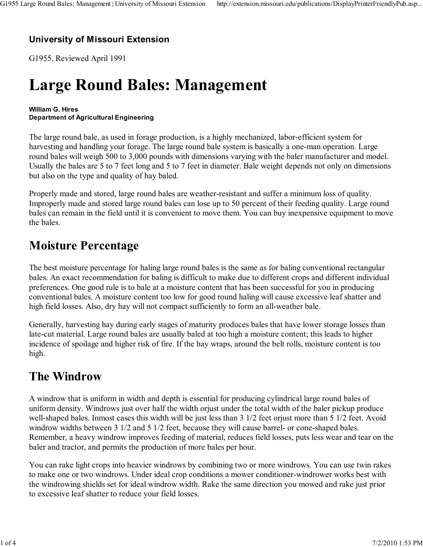### University of Missouri Extension

G1955, Reviewed April 1991

# Large Round Bales: Management

#### William G. Hires Department of Agricultural Engineering

The large round bale, as used in forage production, is a highly mechanized, labor-efficient system for harvesting and handling your forage. The large round bale system is basically a one-man operation. Large round bales will weigh 500 to 3,000 pounds with dimensions varying with the baler manufacturer and model. Usually the bales are 5 to 7 feet long and 5 to 7 feet in diameter. Bale weight depends not only on dimensions but also on the type and quality of hay baled.

Properly made and stored, large round bales are weather-resistant and suffer a minimum loss of quality. Improperly made and stored large round bales can lose up to 50 percent of their feeding quality. Large round bales can remain in the field until it is convenient to move them. You can buy inexpensive equipment to move the bales.

### Moisture Percentage

The best moisture percentage for haling large round bales is the same as for baling conventional rectangular bales. An exact recommendation for baling is difficult to make due to different crops and different individual preferences. One good rule is to bale at a moisture content that has been successful for you in producing conventional bales. A moisture content too low for good round haling will cause excessive leaf shatter and high field losses. Also, dry hay will not compact sufficiently to form an all-weather bale.

Generally, harvesting hay during early stages of maturity produces bales that have lower storage losses than late-cut material. Large round bales are usually baled at too high a moisture content; this leads to higher incidence of spoilage and higher risk of fire. If the hay wraps, around the belt rolls, moisture content is too high.

### The Windrow

A windrow that is uniform in width and depth is essential for producing cylindrical large round bales of uniform density. Windrows just over half the width orjust under the total width of the baler pickup produce well-shaped bales. Inmost cases this width will be just less than 3 1/2 feet orjust more than 5 1/2 feet. Avoid windrow widths between 3 1/2 and 5 1/2 feet, because they will cause barrel- or cone-shaped bales. Remember, a heavy windrow improves feeding of material, reduces field losses, puts less wear and tear on the baler and tractor, and permits the production of more bales per hour.

You can rake light crops into heavier windrows by combining two or more windrows. You can use twin rakes to make one or two windrows. Under ideal crop conditions a mower conditioner-windrower works best with the windrowing shields set for ideal windrow width. Rake the same direction you mowed and rake just prior to excessive leaf shatter to reduce your field losses.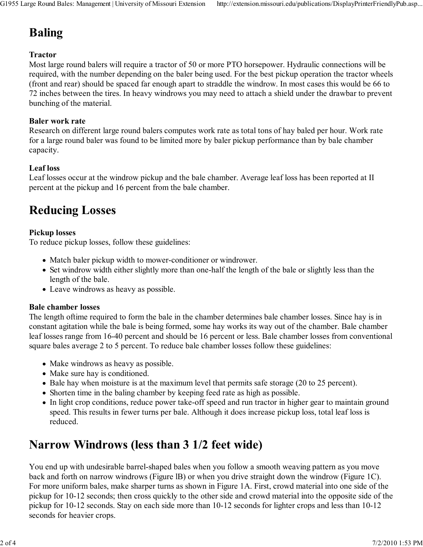# Baling

### Tractor

Most large round balers will require a tractor of 50 or more PTO horsepower. Hydraulic connections will be required, with the number depending on the baler being used. For the best pickup operation the tractor wheels (front and rear) should be spaced far enough apart to straddle the windrow. In most cases this would be 66 to 72 inches between the tires. In heavy windrows you may need to attach a shield under the drawbar to prevent bunching of the material.

#### Baler work rate

Research on different large round balers computes work rate as total tons of hay baled per hour. Work rate for a large round baler was found to be limited more by baler pickup performance than by bale chamber capacity.

### Leaf loss

Leaf losses occur at the windrow pickup and the bale chamber. Average leaf loss has been reported at II percent at the pickup and 16 percent from the bale chamber.

# Reducing Losses

### Pickup losses

To reduce pickup losses, follow these guidelines:

- Match baler pickup width to mower-conditioner or windrower.
- Set windrow width either slightly more than one-half the length of the bale or slightly less than the length of the bale.
- Leave windrows as heavy as possible.

#### Bale chamber losses

The length oftime required to form the bale in the chamber determines bale chamber losses. Since hay is in constant agitation while the bale is being formed, some hay works its way out of the chamber. Bale chamber leaf losses range from 16-40 percent and should be 16 percent or less. Bale chamber losses from conventional square bales average 2 to 5 percent. To reduce bale chamber losses follow these guidelines:

- Make windrows as heavy as possible.
- Make sure hay is conditioned.
- Bale hay when moisture is at the maximum level that permits safe storage (20 to 25 percent).
- Shorten time in the baling chamber by keeping feed rate as high as possible.
- In light crop conditions, reduce power take-off speed and run tractor in higher gear to maintain ground speed. This results in fewer turns per bale. Although it does increase pickup loss, total leaf loss is reduced.

# Narrow Windrows (less than 3 1/2 feet wide)

You end up with undesirable barrel-shaped bales when you follow a smooth weaving pattern as you move back and forth on narrow windrows (Figure lB) or when you drive straight down the windrow (Figure 1C). For more uniform bales, make sharper turns as shown in Figure 1A. First, crowd material into one side of the pickup for 10-12 seconds; then cross quickly to the other side and crowd material into the opposite side of the pickup for 10-12 seconds. Stay on each side more than 10-12 seconds for lighter crops and less than 10-12 seconds for heavier crops.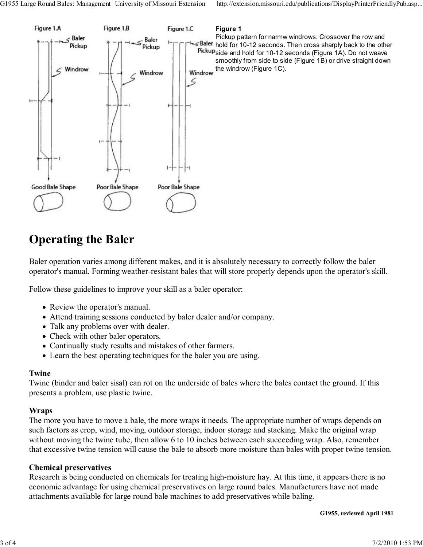

# Operating the Baler

Baler operation varies among different makes, and it is absolutely necessary to correctly follow the baler operator's manual. Forming weather-resistant bales that will store properly depends upon the operator's skill.

Follow these guidelines to improve your skill as a baler operator:

- Review the operator's manual.
- Attend training sessions conducted by baler dealer and/or company.
- Talk any problems over with dealer.
- Check with other baler operators.
- Continually study results and mistakes of other farmers.
- Learn the best operating techniques for the baler you are using.

#### Twine

Twine (binder and baler sisal) can rot on the underside of bales where the bales contact the ground. If this presents a problem, use plastic twine.

#### Wraps

The more you have to move a bale, the more wraps it needs. The appropriate number of wraps depends on such factors as crop, wind, moving, outdoor storage, indoor storage and stacking. Make the original wrap without moving the twine tube, then allow 6 to 10 inches between each succeeding wrap. Also, remember that excessive twine tension will cause the bale to absorb more moisture than bales with proper twine tension.

#### Chemical preservatives

Research is being conducted on chemicals for treating high-moisture hay. At this time, it appears there is no economic advantage for using chemical preservatives on large round bales. Manufacturers have not made attachments available for large round bale machines to add preservatives while baling.

G1955, reviewed April 1981